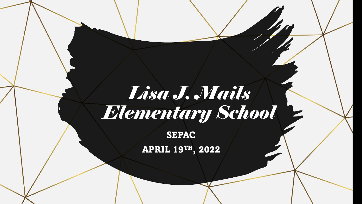# *Lisa J. Mails Elementary School*

SEPAC APRIL 19TH, 2022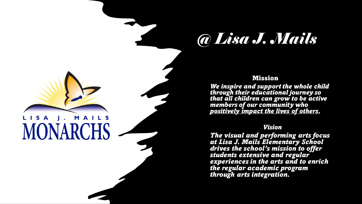

**MONARCHS** 

#### Mission

*We inspire and support the whole child through their educational journey so that all children can grow to be active members of our community who positively impact the lives of others.*

### *Vision*

*The visual and performing arts focus at Lisa J. Mails Elementary School drives the school's mission to offer students extensive and regular experiences in the arts and to enrich the regular academic program through arts integration.*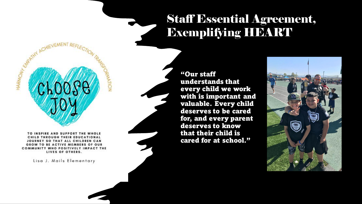# Staff Essential Agreement, Exemplifying HEART

TO INSPIRE AND SUPPORT THE WHOLE CHILD THROUGH THEIR EDUCATIONAL JOURNEY SO THAT ALL CHILDREN CAN GROW TO BE ACTIVE MEMBERS OF OUR COMMUNITY WHO POSITIVELY IMPACT THE LIVES OF OTHERS.

**RNATION** 

HARMOW<sub>N Graphy</sub>

Lisa J. Mails Elementary

"Our staff understands that every child we work with is important and valuable. Every child deserves to be cared for, and every parent deserves to know that their child is cared for at school."

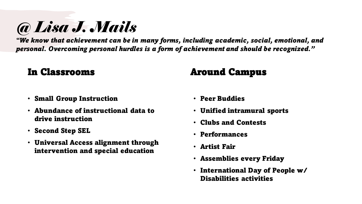*"We know that achievement can be in many forms, including academic, social, emotional, and personal. Overcoming personal hurdles is a form of achievement and should be recognized."*

## In Classrooms

• Small Group Instruction

*@ Lisa J. Mails* 

- Abundance of instructional data to drive instruction
- Second Step SEL
- Universal Access alignment through intervention and special education

### Around Campus

- Peer Buddies
- Unified intramural sports
- Clubs and Contests
- Performances
- Artist Fair
- Assemblies every Friday
- International Day of People w/ Disabilities activities